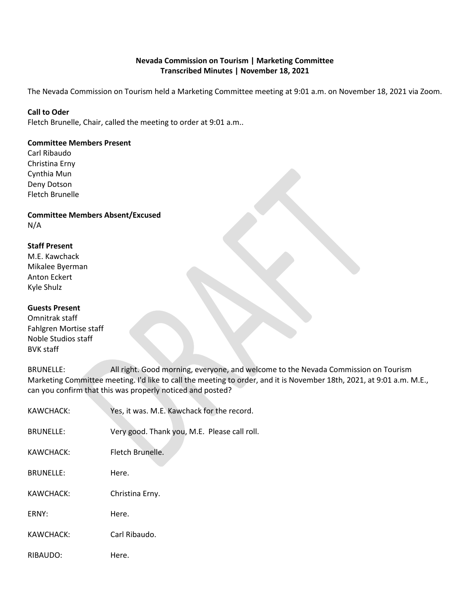### **Nevada Commission on Tourism | Marketing Committee Transcribed Minutes | November 18, 2021**

The Nevada Commission on Tourism held a Marketing Committee meeting at 9:01 a.m. on November 18, 2021 via Zoom.

#### **Call to Oder**

Fletch Brunelle, Chair, called the meeting to order at 9:01 a.m..

#### **Committee Members Present**

Carl Ribaudo Christina Erny Cynthia Mun Deny Dotson Fletch Brunelle

### **Committee Members Absent/Excused** N/A

# **Staff Present**

| M.E. Kawchack   |
|-----------------|
| Mikalee Byerman |
| Anton Eckert    |
| Kyle Shulz      |

### **Guests Present**

Omnitrak staff Fahlgren Mortise staff Noble Studios staff BVK staff

BRUNELLE: All right. Good morning, everyone, and welcome to the Nevada Commission on Tourism Marketing Committee meeting. I'd like to call the meeting to order, and it is November 18th, 2021, at 9:01 a.m. M.E., can you confirm that this was properly noticed and posted?

| KAWCHACK:        | Yes, it was. M.E. Kawchack for the record.   |
|------------------|----------------------------------------------|
| <b>BRUNELLE:</b> | Very good. Thank you, M.E. Please call roll. |
| KAWCHACK:        | Fletch Brunelle.                             |
| <b>BRUNELLE:</b> | Here.                                        |
| KAWCHACK:        | Christina Erny.                              |
| ERNY:            | Here.                                        |
| KAWCHACK:        | Carl Ribaudo.                                |
| RIBAUDO:         | Here.                                        |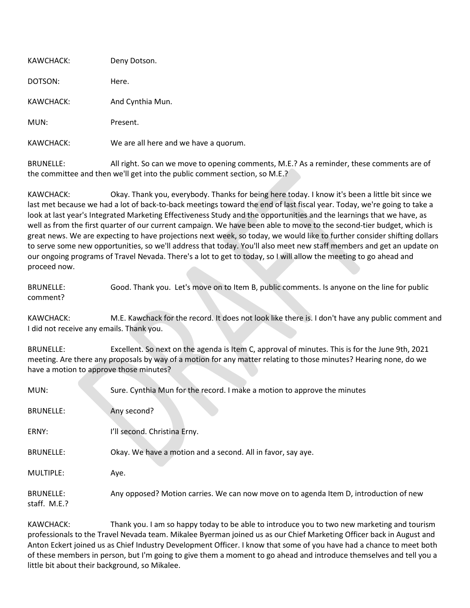| KAWCHACK: | Deny Dotson.                          |
|-----------|---------------------------------------|
| DOTSON:   | Here.                                 |
| KAWCHACK: | And Cynthia Mun.                      |
| MUN:      | Present.                              |
| KAWCHACK: | We are all here and we have a quorum. |

BRUNELLE: All right. So can we move to opening comments, M.E.? As a reminder, these comments are of the committee and then we'll get into the public comment section, so M.E.?

KAWCHACK: Okay. Thank you, everybody. Thanks for being here today. I know it's been a little bit since we last met because we had a lot of back-to-back meetings toward the end of last fiscal year. Today, we're going to take a look at last year's Integrated Marketing Effectiveness Study and the opportunities and the learnings that we have, as well as from the first quarter of our current campaign. We have been able to move to the second-tier budget, which is great news. We are expecting to have projections next week, so today, we would like to further consider shifting dollars to serve some new opportunities, so we'll address that today. You'll also meet new staff members and get an update on our ongoing programs of Travel Nevada. There's a lot to get to today, so I will allow the meeting to go ahead and proceed now.

BRUNELLE: Good. Thank you. Let's move on to Item B, public comments. Is anyone on the line for public comment?

KAWCHACK: M.E. Kawchack for the record. It does not look like there is. I don't have any public comment and I did not receive any emails. Thank you.

BRUNELLE: Excellent. So next on the agenda is Item C, approval of minutes. This is for the June 9th, 2021 meeting. Are there any proposals by way of a motion for any matter relating to those minutes? Hearing none, do we have a motion to approve those minutes?

| MUN:                             | Sure. Cynthia Mun for the record. I make a motion to approve the minutes              |
|----------------------------------|---------------------------------------------------------------------------------------|
| <b>BRUNELLE:</b>                 | Any second?                                                                           |
| ERNY:                            | I'll second. Christina Erny.                                                          |
| <b>BRUNELLE:</b>                 | Okay. We have a motion and a second. All in favor, say aye.                           |
| MULTIPLE:                        | Aye.                                                                                  |
| <b>BRUNELLE:</b><br>staff. M.E.? | Any opposed? Motion carries. We can now move on to agenda Item D, introduction of new |

KAWCHACK: Thank you. I am so happy today to be able to introduce you to two new marketing and tourism professionals to the Travel Nevada team. Mikalee Byerman joined us as our Chief Marketing Officer back in August and Anton Eckert joined us as Chief Industry Development Officer. I know that some of you have had a chance to meet both of these members in person, but I'm going to give them a moment to go ahead and introduce themselves and tell you a little bit about their background, so Mikalee.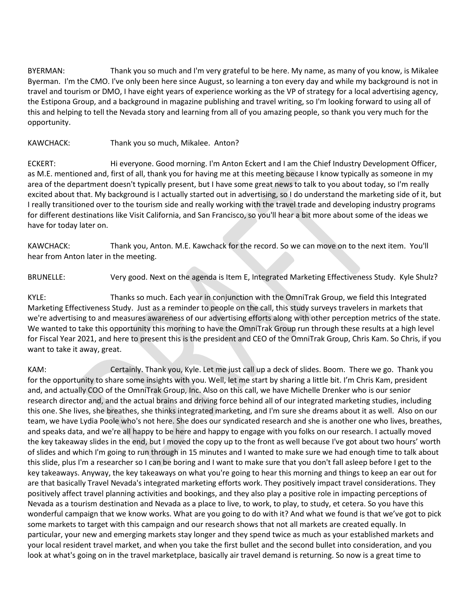BYERMAN: Thank you so much and I'm very grateful to be here. My name, as many of you know, is Mikalee Byerman. I'm the CMO. I've only been here since August, so learning a ton every day and while my background is not in travel and tourism or DMO, I have eight years of experience working as the VP of strategy for a local advertising agency, the Estipona Group, and a background in magazine publishing and travel writing, so I'm looking forward to using all of this and helping to tell the Nevada story and learning from all of you amazing people, so thank you very much for the opportunity.

### KAWCHACK: Thank you so much, Mikalee. Anton?

ECKERT: Hi everyone. Good morning. I'm Anton Eckert and I am the Chief Industry Development Officer, as M.E. mentioned and, first of all, thank you for having me at this meeting because I know typically as someone in my area of the department doesn't typically present, but I have some great news to talk to you about today, so I'm really excited about that. My background is I actually started out in advertising, so I do understand the marketing side of it, but I really transitioned over to the tourism side and really working with the travel trade and developing industry programs for different destinations like Visit California, and San Francisco, so you'll hear a bit more about some of the ideas we have for today later on.

KAWCHACK: Thank you, Anton. M.E. Kawchack for the record. So we can move on to the next item. You'll hear from Anton later in the meeting.

BRUNELLE: Very good. Next on the agenda is Item E, Integrated Marketing Effectiveness Study. Kyle Shulz?

KYLE: Thanks so much. Each year in conjunction with the OmniTrak Group, we field this Integrated Marketing Effectiveness Study. Just as a reminder to people on the call, this study surveys travelers in markets that we're advertising to and measures awareness of our advertising efforts along with other perception metrics of the state. We wanted to take this opportunity this morning to have the OmniTrak Group run through these results at a high level for Fiscal Year 2021, and here to present this is the president and CEO of the OmniTrak Group, Chris Kam. So Chris, if you want to take it away, great.

KAM: Certainly. Thank you, Kyle. Let me just call up a deck of slides. Boom. There we go. Thank you for the opportunity to share some insights with you. Well, let me start by sharing a little bit. I'm Chris Kam, president and, and actually COO of the OmniTrak Group, Inc. Also on this call, we have Michelle Drenker who is our senior research director and, and the actual brains and driving force behind all of our integrated marketing studies, including this one. She lives, she breathes, she thinks integrated marketing, and I'm sure she dreams about it as well. Also on our team, we have Lydia Poole who's not here. She does our syndicated research and she is another one who lives, breathes, and speaks data, and we're all happy to be here and happy to engage with you folks on our research. I actually moved the key takeaway slides in the end, but I moved the copy up to the front as well because I've got about two hours' worth of slides and which I'm going to run through in 15 minutes and I wanted to make sure we had enough time to talk about this slide, plus I'm a researcher so I can be boring and I want to make sure that you don't fall asleep before I get to the key takeaways. Anyway, the key takeaways on what you're going to hear this morning and things to keep an ear out for are that basically Travel Nevada's integrated marketing efforts work. They positively impact travel considerations. They positively affect travel planning activities and bookings, and they also play a positive role in impacting perceptions of Nevada as a tourism destination and Nevada as a place to live, to work, to play, to study, et cetera. So you have this wonderful campaign that we know works. What are you going to do with it? And what we found is that we've got to pick some markets to target with this campaign and our research shows that not all markets are created equally. In particular, your new and emerging markets stay longer and they spend twice as much as your established markets and your local resident travel market, and when you take the first bullet and the second bullet into consideration, and you look at what's going on in the travel marketplace, basically air travel demand is returning. So now is a great time to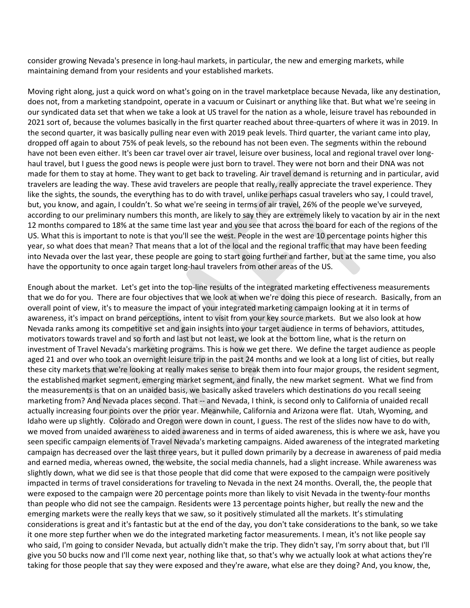consider growing Nevada's presence in long-haul markets, in particular, the new and emerging markets, while maintaining demand from your residents and your established markets.

Moving right along, just a quick word on what's going on in the travel marketplace because Nevada, like any destination, does not, from a marketing standpoint, operate in a vacuum or Cuisinart or anything like that. But what we're seeing in our syndicated data set that when we take a look at US travel for the nation as a whole, leisure travel has rebounded in 2021 sort of, because the volumes basically in the first quarter reached about three-quarters of where it was in 2019. In the second quarter, it was basically pulling near even with 2019 peak levels. Third quarter, the variant came into play, dropped off again to about 75% of peak levels, so the rebound has not been even. The segments within the rebound have not been even either. It's been car travel over air travel, leisure over business, local and regional travel over longhaul travel, but I guess the good news is people were just born to travel. They were not born and their DNA was not made for them to stay at home. They want to get back to traveling. Air travel demand is returning and in particular, avid travelers are leading the way. These avid travelers are people that really, really appreciate the travel experience. They like the sights, the sounds, the everything has to do with travel, unlike perhaps casual travelers who say, I could travel, but, you know, and again, I couldn't. So what we're seeing in terms of air travel, 26% of the people we've surveyed, according to our preliminary numbers this month, are likely to say they are extremely likely to vacation by air in the next 12 months compared to 18% at the same time last year and you see that across the board for each of the regions of the US. What this is important to note is that you'll see the west. People in the west are 10 percentage points higher this year, so what does that mean? That means that a lot of the local and the regional traffic that may have been feeding into Nevada over the last year, these people are going to start going further and farther, but at the same time, you also have the opportunity to once again target long-haul travelers from other areas of the US.

Enough about the market. Let's get into the top-line results of the integrated marketing effectiveness measurements that we do for you. There are four objectives that we look at when we're doing this piece of research. Basically, from an overall point of view, it's to measure the impact of your integrated marketing campaign looking at it in terms of awareness, it's impact on brand perceptions, intent to visit from your key source markets. But we also look at how Nevada ranks among its competitive set and gain insights into your target audience in terms of behaviors, attitudes, motivators towards travel and so forth and last but not least, we look at the bottom line, what is the return on investment of Travel Nevada's marketing programs. This is how we get there. We define the target audience as people aged 21 and over who took an overnight leisure trip in the past 24 months and we look at a long list of cities, but really these city markets that we're looking at really makes sense to break them into four major groups, the resident segment, the established market segment, emerging market segment, and finally, the new market segment. What we find from the measurements is that on an unaided basis, we basically asked travelers which destinations do you recall seeing marketing from? And Nevada places second. That -- and Nevada, I think, is second only to California of unaided recall actually increasing four points over the prior year. Meanwhile, California and Arizona were flat. Utah, Wyoming, and Idaho were up slightly. Colorado and Oregon were down in count, I guess. The rest of the slides now have to do with, we moved from unaided awareness to aided awareness and in terms of aided awareness, this is where we ask, have you seen specific campaign elements of Travel Nevada's marketing campaigns. Aided awareness of the integrated marketing campaign has decreased over the last three years, but it pulled down primarily by a decrease in awareness of paid media and earned media, whereas owned, the website, the social media channels, had a slight increase. While awareness was slightly down, what we did see is that those people that did come that were exposed to the campaign were positively impacted in terms of travel considerations for traveling to Nevada in the next 24 months. Overall, the, the people that were exposed to the campaign were 20 percentage points more than likely to visit Nevada in the twenty-four months than people who did not see the campaign. Residents were 13 percentage points higher, but really the new and the emerging markets were the really keys that we saw, so it positively stimulated all the markets. It's stimulating considerations is great and it's fantastic but at the end of the day, you don't take considerations to the bank, so we take it one more step further when we do the integrated marketing factor measurements. I mean, it's not like people say who said, I'm going to consider Nevada, but actually didn't make the trip. They didn't say, I'm sorry about that, but I'll give you 50 bucks now and I'll come next year, nothing like that, so that's why we actually look at what actions they're taking for those people that say they were exposed and they're aware, what else are they doing? And, you know, the,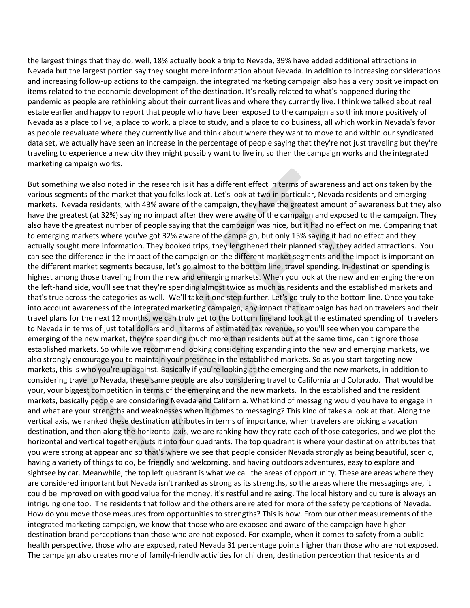the largest things that they do, well, 18% actually book a trip to Nevada, 39% have added additional attractions in Nevada but the largest portion say they sought more information about Nevada. In addition to increasing considerations and increasing follow-up actions to the campaign, the integrated marketing campaign also has a very positive impact on items related to the economic development of the destination. It's really related to what's happened during the pandemic as people are rethinking about their current lives and where they currently live. I think we talked about real estate earlier and happy to report that people who have been exposed to the campaign also think more positively of Nevada as a place to live, a place to work, a place to study, and a place to do business, all which work in Nevada's favor as people reevaluate where they currently live and think about where they want to move to and within our syndicated data set, we actually have seen an increase in the percentage of people saying that they're not just traveling but they're traveling to experience a new city they might possibly want to live in, so then the campaign works and the integrated marketing campaign works.

But something we also noted in the research is it has a different effect in terms of awareness and actions taken by the various segments of the market that you folks look at. Let's look at two in particular, Nevada residents and emerging markets. Nevada residents, with 43% aware of the campaign, they have the greatest amount of awareness but they also have the greatest (at 32%) saying no impact after they were aware of the campaign and exposed to the campaign. They also have the greatest number of people saying that the campaign was nice, but it had no effect on me. Comparing that to emerging markets where you've got 32% aware of the campaign, but only 15% saying it had no effect and they actually sought more information. They booked trips, they lengthened their planned stay, they added attractions. You can see the difference in the impact of the campaign on the different market segments and the impact is important on the different market segments because, let's go almost to the bottom line, travel spending. In-destination spending is highest among those traveling from the new and emerging markets. When you look at the new and emerging there on the left-hand side, you'll see that they're spending almost twice as much as residents and the established markets and that's true across the categories as well. We'll take it one step further. Let's go truly to the bottom line. Once you take into account awareness of the integrated marketing campaign, any impact that campaign has had on travelers and their travel plans for the next 12 months, we can truly get to the bottom line and look at the estimated spending of travelers to Nevada in terms of just total dollars and in terms of estimated tax revenue, so you'll see when you compare the emerging of the new market, they're spending much more than residents but at the same time, can't ignore those established markets. So while we recommend looking considering expanding into the new and emerging markets, we also strongly encourage you to maintain your presence in the established markets. So as you start targeting new markets, this is who you're up against. Basically if you're looking at the emerging and the new markets, in addition to considering travel to Nevada, these same people are also considering travel to California and Colorado. That would be your, your biggest competition in terms of the emerging and the new markets. In the established and the resident markets, basically people are considering Nevada and California. What kind of messaging would you have to engage in and what are your strengths and weaknesses when it comes to messaging? This kind of takes a look at that. Along the vertical axis, we ranked these destination attributes in terms of importance, when travelers are picking a vacation destination, and then along the horizontal axis, we are ranking how they rate each of those categories, and we plot the horizontal and vertical together, puts it into four quadrants. The top quadrant is where your destination attributes that you were strong at appear and so that's where we see that people consider Nevada strongly as being beautiful, scenic, having a variety of things to do, be friendly and welcoming, and having outdoors adventures, easy to explore and sightsee by car. Meanwhile, the top left quadrant is what we call the areas of opportunity. These are areas where they are considered important but Nevada isn't ranked as strong as its strengths, so the areas where the messagings are, it could be improved on with good value for the money, it's restful and relaxing. The local history and culture is always an intriguing one too. The residents that follow and the others are related for more of the safety perceptions of Nevada. How do you move those measures from opportunities to strengths? This is how. From our other measurements of the integrated marketing campaign, we know that those who are exposed and aware of the campaign have higher destination brand perceptions than those who are not exposed. For example, when it comes to safety from a public health perspective, those who are exposed, rated Nevada 31 percentage points higher than those who are not exposed. The campaign also creates more of family-friendly activities for children, destination perception that residents and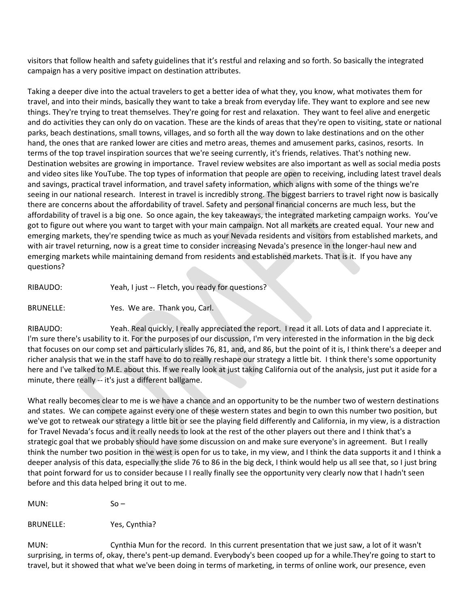visitors that follow health and safety guidelines that it's restful and relaxing and so forth. So basically the integrated campaign has a very positive impact on destination attributes.

Taking a deeper dive into the actual travelers to get a better idea of what they, you know, what motivates them for travel, and into their minds, basically they want to take a break from everyday life. They want to explore and see new things. They're trying to treat themselves. They're going for rest and relaxation. They want to feel alive and energetic and do activities they can only do on vacation. These are the kinds of areas that they're open to visiting, state or national parks, beach destinations, small towns, villages, and so forth all the way down to lake destinations and on the other hand, the ones that are ranked lower are cities and metro areas, themes and amusement parks, casinos, resorts. In terms of the top travel inspiration sources that we're seeing currently, it's friends, relatives. That's nothing new. Destination websites are growing in importance. Travel review websites are also important as well as social media posts and video sites like YouTube. The top types of information that people are open to receiving, including latest travel deals and savings, practical travel information, and travel safety information, which aligns with some of the things we're seeing in our national research. Interest in travel is incredibly strong. The biggest barriers to travel right now is basically there are concerns about the affordability of travel. Safety and personal financial concerns are much less, but the affordability of travel is a big one. So once again, the key takeaways, the integrated marketing campaign works. You've got to figure out where you want to target with your main campaign. Not all markets are created equal. Your new and emerging markets, they're spending twice as much as your Nevada residents and visitors from established markets, and with air travel returning, now is a great time to consider increasing Nevada's presence in the longer-haul new and emerging markets while maintaining demand from residents and established markets. That is it. If you have any questions?

RIBAUDO: Yeah, I just -- Fletch, you ready for questions?

BRUNELLE: Yes. We are. Thank you, Carl.

RIBAUDO: Yeah. Real quickly, I really appreciated the report. I read it all. Lots of data and I appreciate it. I'm sure there's usability to it. For the purposes of our discussion, I'm very interested in the information in the big deck that focuses on our comp set and particularly slides 76, 81, and, and 86, but the point of it is, I think there's a deeper and richer analysis that we in the staff have to do to really reshape our strategy a little bit. I think there's some opportunity here and I've talked to M.E. about this. If we really look at just taking California out of the analysis, just put it aside for a minute, there really -- it's just a different ballgame.

What really becomes clear to me is we have a chance and an opportunity to be the number two of western destinations and states. We can compete against every one of these western states and begin to own this number two position, but we've got to retweak our strategy a little bit or see the playing field differently and California, in my view, is a distraction for Travel Nevada's focus and it really needs to look at the rest of the other players out there and I think that's a strategic goal that we probably should have some discussion on and make sure everyone's in agreement. But I really think the number two position in the west is open for us to take, in my view, and I think the data supports it and I think a deeper analysis of this data, especially the slide 76 to 86 in the big deck, I think would help us all see that, so I just bring that point forward for us to consider because I I really finally see the opportunity very clearly now that I hadn't seen before and this data helped bring it out to me.

MUN: So –

BRUNELLE: Yes, Cynthia?

MUN: Cynthia Mun for the record. In this current presentation that we just saw, a lot of it wasn't surprising, in terms of, okay, there's pent-up demand. Everybody's been cooped up for a while.They're going to start to travel, but it showed that what we've been doing in terms of marketing, in terms of online work, our presence, even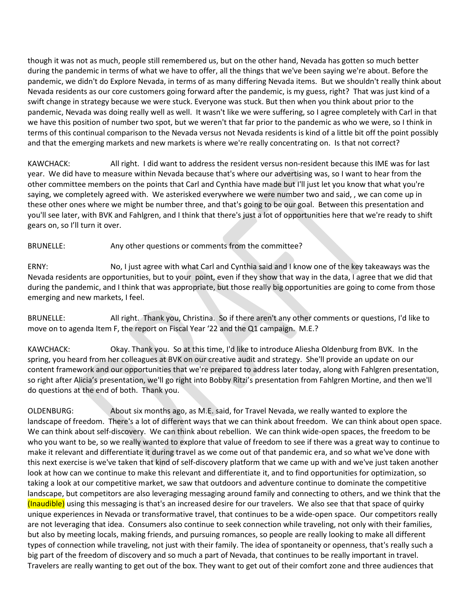though it was not as much, people still remembered us, but on the other hand, Nevada has gotten so much better during the pandemic in terms of what we have to offer, all the things that we've been saying we're about. Before the pandemic, we didn't do Explore Nevada, in terms of as many differing Nevada items. But we shouldn't really think about Nevada residents as our core customers going forward after the pandemic, is my guess, right? That was just kind of a swift change in strategy because we were stuck. Everyone was stuck. But then when you think about prior to the pandemic, Nevada was doing really well as well. It wasn't like we were suffering, so I agree completely with Carl in that we have this position of number two spot, but we weren't that far prior to the pandemic as who we were, so I think in terms of this continual comparison to the Nevada versus not Nevada residents is kind of a little bit off the point possibly and that the emerging markets and new markets is where we're really concentrating on. Is that not correct?

KAWCHACK: All right. I did want to address the resident versus non-resident because this IME was for last year. We did have to measure within Nevada because that's where our advertising was, so I want to hear from the other committee members on the points that Carl and Cynthia have made but I'll just let you know that what you're saying, we completely agreed with. We asterisked everywhere we were number two and said, , we can come up in these other ones where we might be number three, and that's going to be our goal. Between this presentation and you'll see later, with BVK and Fahlgren, and I think that there's just a lot of opportunities here that we're ready to shift gears on, so I'll turn it over.

### BRUNELLE: Any other questions or comments from the committee?

ERNY: No, I just agree with what Carl and Cynthia said and I know one of the key takeaways was the Nevada residents are opportunities, but to your point, even if they show that way in the data, I agree that we did that during the pandemic, and I think that was appropriate, but those really big opportunities are going to come from those emerging and new markets, I feel.

BRUNELLE: All right. Thank you, Christina. So if there aren't any other comments or questions, I'd like to move on to agenda Item F, the report on Fiscal Year '22 and the Q1 campaign. M.E.?

KAWCHACK: Okay. Thank you. So at this time, I'd like to introduce Aliesha Oldenburg from BVK. In the spring, you heard from her colleagues at BVK on our creative audit and strategy. She'll provide an update on our content framework and our opportunities that we're prepared to address later today, along with Fahlgren presentation, so right after Alicia's presentation, we'll go right into Bobby Ritzi's presentation from Fahlgren Mortine, and then we'll do questions at the end of both. Thank you.

OLDENBURG: About six months ago, as M.E. said, for Travel Nevada, we really wanted to explore the landscape of freedom. There's a lot of different ways that we can think about freedom. We can think about open space. We can think about self-discovery. We can think about rebellion. We can think wide-open spaces, the freedom to be who you want to be, so we really wanted to explore that value of freedom to see if there was a great way to continue to make it relevant and differentiate it during travel as we come out of that pandemic era, and so what we've done with this next exercise is we've taken that kind of self-discovery platform that we came up with and we've just taken another look at how can we continue to make this relevant and differentiate it, and to find opportunities for optimization, so taking a look at our competitive market, we saw that outdoors and adventure continue to dominate the competitive landscape, but competitors are also leveraging messaging around family and connecting to others, and we think that the (Inaudible) using this messaging is that's an increased desire for our travelers. We also see that that space of quirky unique experiences in Nevada or transformative travel, that continues to be a wide-open space. Our competitors really are not leveraging that idea. Consumers also continue to seek connection while traveling, not only with their families, but also by meeting locals, making friends, and pursuing romances, so people are really looking to make all different types of connection while traveling, not just with their family. The idea of spontaneity or openness, that's really such a big part of the freedom of discovery and so much a part of Nevada, that continues to be really important in travel. Travelers are really wanting to get out of the box. They want to get out of their comfort zone and three audiences that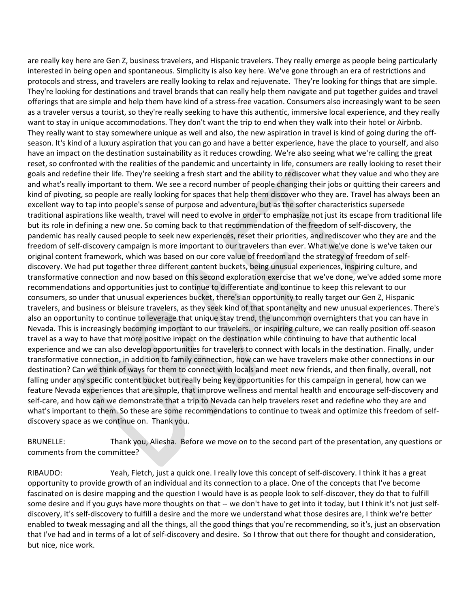are really key here are Gen Z, business travelers, and Hispanic travelers. They really emerge as people being particularly interested in being open and spontaneous. Simplicity is also key here. We've gone through an era of restrictions and protocols and stress, and travelers are really looking to relax and rejuvenate. They're looking for things that are simple. They're looking for destinations and travel brands that can really help them navigate and put together guides and travel offerings that are simple and help them have kind of a stress-free vacation. Consumers also increasingly want to be seen as a traveler versus a tourist, so they're really seeking to have this authentic, immersive local experience, and they really want to stay in unique accommodations. They don't want the trip to end when they walk into their hotel or Airbnb. They really want to stay somewhere unique as well and also, the new aspiration in travel is kind of going during the offseason. It's kind of a luxury aspiration that you can go and have a better experience, have the place to yourself, and also have an impact on the destination sustainability as it reduces crowding. We're also seeing what we're calling the great reset, so confronted with the realities of the pandemic and uncertainty in life, consumers are really looking to reset their goals and redefine their life. They're seeking a fresh start and the ability to rediscover what they value and who they are and what's really important to them. We see a record number of people changing their jobs or quitting their careers and kind of pivoting, so people are really looking for spaces that help them discover who they are. Travel has always been an excellent way to tap into people's sense of purpose and adventure, but as the softer characteristics supersede traditional aspirations like wealth, travel will need to evolve in order to emphasize not just its escape from traditional life but its role in defining a new one. So coming back to that recommendation of the freedom of self-discovery, the pandemic has really caused people to seek new experiences, reset their priorities, and rediscover who they are and the freedom of self-discovery campaign is more important to our travelers than ever. What we've done is we've taken our original content framework, which was based on our core value of freedom and the strategy of freedom of selfdiscovery. We had put together three different content buckets, being unusual experiences, inspiring culture, and transformative connection and now based on this second exploration exercise that we've done, we've added some more recommendations and opportunities just to continue to differentiate and continue to keep this relevant to our consumers, so under that unusual experiences bucket, there's an opportunity to really target our Gen Z, Hispanic travelers, and business or bleisure travelers, as they seek kind of that spontaneity and new unusual experiences. There's also an opportunity to continue to leverage that unique stay trend, the uncommon overnighters that you can have in Nevada. This is increasingly becoming important to our travelers. or inspiring culture, we can really position off-season travel as a way to have that more positive impact on the destination while continuing to have that authentic local experience and we can also develop opportunities for travelers to connect with locals in the destination. Finally, under transformative connection, in addition to family connection, how can we have travelers make other connections in our destination? Can we think of ways for them to connect with locals and meet new friends, and then finally, overall, not falling under any specific content bucket but really being key opportunities for this campaign in general, how can we feature Nevada experiences that are simple, that improve wellness and mental health and encourage self-discovery and self-care, and how can we demonstrate that a trip to Nevada can help travelers reset and redefine who they are and what's important to them. So these are some recommendations to continue to tweak and optimize this freedom of selfdiscovery space as we continue on. Thank you.

BRUNELLE: Thank you, Aliesha. Before we move on to the second part of the presentation, any questions or comments from the committee?

RIBAUDO: Yeah, Fletch, just a quick one. I really love this concept of self-discovery. I think it has a great opportunity to provide growth of an individual and its connection to a place. One of the concepts that I've become fascinated on is desire mapping and the question I would have is as people look to self-discover, they do that to fulfill some desire and if you guys have more thoughts on that -- we don't have to get into it today, but I think it's not just selfdiscovery, it's self-discovery to fulfill a desire and the more we understand what those desires are, I think we're better enabled to tweak messaging and all the things, all the good things that you're recommending, so it's, just an observation that I've had and in terms of a lot of self-discovery and desire. So I throw that out there for thought and consideration, but nice, nice work.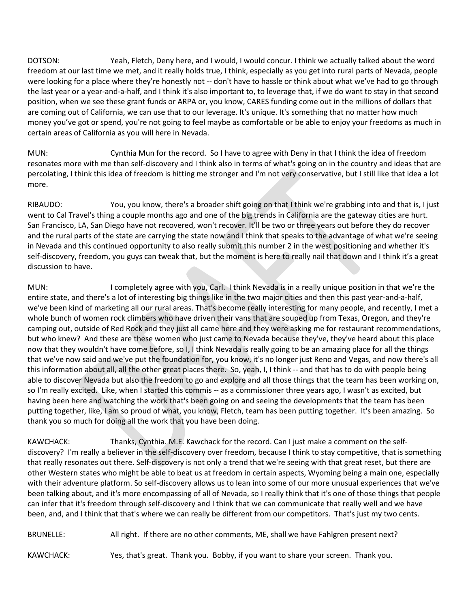DOTSON: Yeah, Fletch, Deny here, and I would, I would concur. I think we actually talked about the word freedom at our last time we met, and it really holds true, I think, especially as you get into rural parts of Nevada, people were looking for a place where they're honestly not -- don't have to hassle or think about what we've had to go through the last year or a year-and-a-half, and I think it's also important to, to leverage that, if we do want to stay in that second position, when we see these grant funds or ARPA or, you know, CARES funding come out in the millions of dollars that are coming out of California, we can use that to our leverage. It's unique. It's something that no matter how much money you've got or spend, you're not going to feel maybe as comfortable or be able to enjoy your freedoms as much in certain areas of California as you will here in Nevada.

MUN: Cynthia Mun for the record. So I have to agree with Deny in that I think the idea of freedom resonates more with me than self-discovery and I think also in terms of what's going on in the country and ideas that are percolating, I think this idea of freedom is hitting me stronger and I'm not very conservative, but I still like that idea a lot more.

RIBAUDO: You, you know, there's a broader shift going on that I think we're grabbing into and that is, I just went to Cal Travel's thing a couple months ago and one of the big trends in California are the gateway cities are hurt. San Francisco, LA, San Diego have not recovered, won't recover. It'll be two or three years out before they do recover and the rural parts of the state are carrying the state now and I think that speaks to the advantage of what we're seeing in Nevada and this continued opportunity to also really submit this number 2 in the west positioning and whether it's self-discovery, freedom, you guys can tweak that, but the moment is here to really nail that down and I think it's a great discussion to have.

MUN: I completely agree with you, Carl. I think Nevada is in a really unique position in that we're the entire state, and there's a lot of interesting big things like in the two major cities and then this past year-and-a-half, we've been kind of marketing all our rural areas. That's become really interesting for many people, and recently, I met a whole bunch of women rock climbers who have driven their vans that are souped up from Texas, Oregon, and they're camping out, outside of Red Rock and they just all came here and they were asking me for restaurant recommendations, but who knew? And these are these women who just came to Nevada because they've, they've heard about this place now that they wouldn't have come before, so I, I think Nevada is really going to be an amazing place for all the things that we've now said and we've put the foundation for, you know, it's no longer just Reno and Vegas, and now there's all this information about all, all the other great places there. So, yeah, I, I think -- and that has to do with people being able to discover Nevada but also the freedom to go and explore and all those things that the team has been working on, so I'm really excited. Like, when I started this commis -- as a commissioner three years ago, I wasn't as excited, but having been here and watching the work that's been going on and seeing the developments that the team has been putting together, like, I am so proud of what, you know, Fletch, team has been putting together. It's been amazing. So thank you so much for doing all the work that you have been doing.

KAWCHACK: Thanks, Cynthia. M.E. Kawchack for the record. Can I just make a comment on the selfdiscovery? I'm really a believer in the self-discovery over freedom, because I think to stay competitive, that is something that really resonates out there. Self-discovery is not only a trend that we're seeing with that great reset, but there are other Western states who might be able to beat us at freedom in certain aspects, Wyoming being a main one, especially with their adventure platform. So self-discovery allows us to lean into some of our more unusual experiences that we've been talking about, and it's more encompassing of all of Nevada, so I really think that it's one of those things that people can infer that it's freedom through self-discovery and I think that we can communicate that really well and we have been, and, and I think that that's where we can really be different from our competitors. That's just my two cents.

BRUNELLE: All right. If there are no other comments, ME, shall we have Fahlgren present next?

KAWCHACK: Yes, that's great. Thank you. Bobby, if you want to share your screen. Thank you.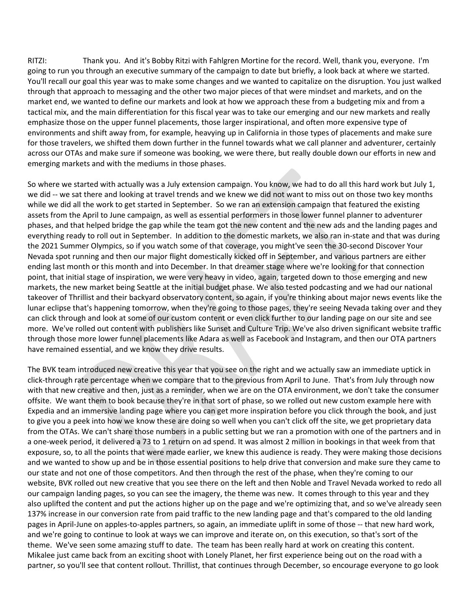RITZI: Thank you. And it's Bobby Ritzi with Fahlgren Mortine for the record. Well, thank you, everyone. I'm going to run you through an executive summary of the campaign to date but briefly, a look back at where we started. You'll recall our goal this year was to make some changes and we wanted to capitalize on the disruption. You just walked through that approach to messaging and the other two major pieces of that were mindset and markets, and on the market end, we wanted to define our markets and look at how we approach these from a budgeting mix and from a tactical mix, and the main differentiation for this fiscal year was to take our emerging and our new markets and really emphasize those on the upper funnel placements, those larger inspirational, and often more expensive type of environments and shift away from, for example, heavying up in California in those types of placements and make sure for those travelers, we shifted them down further in the funnel towards what we call planner and adventurer, certainly across our OTAs and make sure if someone was booking, we were there, but really double down our efforts in new and emerging markets and with the mediums in those phases.

So where we started with actually was a July extension campaign. You know, we had to do all this hard work but July 1, we did -- we sat there and looking at travel trends and we knew we did not want to miss out on those two key months while we did all the work to get started in September. So we ran an extension campaign that featured the existing assets from the April to June campaign, as well as essential performers in those lower funnel planner to adventurer phases, and that helped bridge the gap while the team got the new content and the new ads and the landing pages and everything ready to roll out in September. In addition to the domestic markets, we also ran in-state and that was during the 2021 Summer Olympics, so if you watch some of that coverage, you might've seen the 30-second Discover Your Nevada spot running and then our major flight domestically kicked off in September, and various partners are either ending last month or this month and into December. In that dreamer stage where we're looking for that connection point, that initial stage of inspiration, we were very heavy in video, again, targeted down to those emerging and new markets, the new market being Seattle at the initial budget phase. We also tested podcasting and we had our national takeover of Thrillist and their backyard observatory content, so again, if you're thinking about major news events like the lunar eclipse that's happening tomorrow, when they're going to those pages, they're seeing Nevada taking over and they can click through and look at some of our custom content or even click further to our landing page on our site and see more. We've rolled out content with publishers like Sunset and Culture Trip. We've also driven significant website traffic through those more lower funnel placements like Adara as well as Facebook and Instagram, and then our OTA partners have remained essential, and we know they drive results.

The BVK team introduced new creative this year that you see on the right and we actually saw an immediate uptick in click-through rate percentage when we compare that to the previous from April to June. That's from July through now with that new creative and then, just as a reminder, when we are on the OTA environment, we don't take the consumer offsite. We want them to book because they're in that sort of phase, so we rolled out new custom example here with Expedia and an immersive landing page where you can get more inspiration before you click through the book, and just to give you a peek into how we know these are doing so well when you can't click off the site, we get proprietary data from the OTAs. We can't share those numbers in a public setting but we ran a promotion with one of the partners and in a one-week period, it delivered a 73 to 1 return on ad spend. It was almost 2 million in bookings in that week from that exposure, so, to all the points that were made earlier, we knew this audience is ready. They were making those decisions and we wanted to show up and be in those essential positions to help drive that conversion and make sure they came to our state and not one of those competitors. And then through the rest of the phase, when they're coming to our website, BVK rolled out new creative that you see there on the left and then Noble and Travel Nevada worked to redo all our campaign landing pages, so you can see the imagery, the theme was new. It comes through to this year and they also uplifted the content and put the actions higher up on the page and we're optimizing that, and so we've already seen 137% increase in our conversion rate from paid traffic to the new landing page and that's compared to the old landing pages in April-June on apples-to-apples partners, so again, an immediate uplift in some of those -- that new hard work, and we're going to continue to look at ways we can improve and iterate on, on this execution, so that's sort of the theme. We've seen some amazing stuff to date. The team has been really hard at work on creating this content. Mikalee just came back from an exciting shoot with Lonely Planet, her first experience being out on the road with a partner, so you'll see that content rollout. Thrillist, that continues through December, so encourage everyone to go look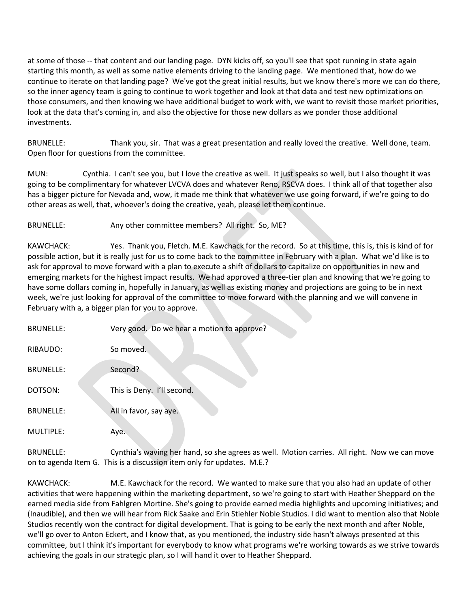at some of those -- that content and our landing page. DYN kicks off, so you'll see that spot running in state again starting this month, as well as some native elements driving to the landing page. We mentioned that, how do we continue to iterate on that landing page? We've got the great initial results, but we know there's more we can do there, so the inner agency team is going to continue to work together and look at that data and test new optimizations on those consumers, and then knowing we have additional budget to work with, we want to revisit those market priorities, look at the data that's coming in, and also the objective for those new dollars as we ponder those additional investments.

BRUNELLE: Thank you, sir. That was a great presentation and really loved the creative. Well done, team. Open floor for questions from the committee.

MUN: Cynthia. I can't see you, but I love the creative as well. It just speaks so well, but I also thought it was going to be complimentary for whatever LVCVA does and whatever Reno, RSCVA does. I think all of that together also has a bigger picture for Nevada and, wow, it made me think that whatever we use going forward, if we're going to do other areas as well, that, whoever's doing the creative, yeah, please let them continue.

BRUNELLE: Any other committee members? All right. So, ME?

KAWCHACK: Yes. Thank you, Fletch. M.E. Kawchack for the record. So at this time, this is, this is kind of for possible action, but it is really just for us to come back to the committee in February with a plan. What we'd like is to ask for approval to move forward with a plan to execute a shift of dollars to capitalize on opportunities in new and emerging markets for the highest impact results. We had approved a three-tier plan and knowing that we're going to have some dollars coming in, hopefully in January, as well as existing money and projections are going to be in next week, we're just looking for approval of the committee to move forward with the planning and we will convene in February with a, a bigger plan for you to approve.

| <b>BRUNELLE:</b> | Very good. Do we hear a motion to approve? |
|------------------|--------------------------------------------|
| RIBAUDO:         | So moved.                                  |
| <b>BRUNELLE:</b> | Second?                                    |
| DOTSON:          | This is Deny. I'll second.                 |
| <b>BRUNELLE:</b> | All in favor, say aye.                     |
| MULTIPLE:        | Ave.                                       |

BRUNELLE: Cynthia's waving her hand, so she agrees as well. Motion carries. All right. Now we can move on to agenda Item G. This is a discussion item only for updates. M.E.?

KAWCHACK: M.E. Kawchack for the record. We wanted to make sure that you also had an update of other activities that were happening within the marketing department, so we're going to start with Heather Sheppard on the earned media side from Fahlgren Mortine. She's going to provide earned media highlights and upcoming initiatives; and (Inaudible), and then we will hear from Rick Saake and Erin Stiehler Noble Studios. I did want to mention also that Noble Studios recently won the contract for digital development. That is going to be early the next month and after Noble, we'll go over to Anton Eckert, and I know that, as you mentioned, the industry side hasn't always presented at this committee, but I think it's important for everybody to know what programs we're working towards as we strive towards achieving the goals in our strategic plan, so I will hand it over to Heather Sheppard.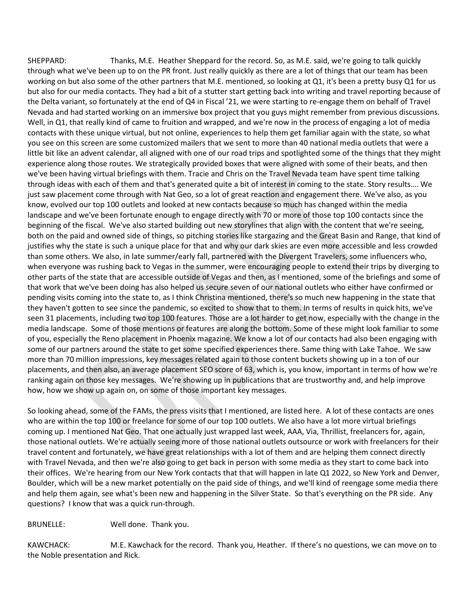SHEPPARD: Thanks, M.E. Heather Sheppard for the record. So, as M.E. said, we're going to talk quickly through what we've been up to on the PR front. Just really quickly as there are a lot of things that our team has been working on but also some of the other partners that M.E. mentioned, so looking at Q1, it's been a pretty busy Q1 for us but also for our media contacts. They had a bit of a stutter start getting back into writing and travel reporting because of the Delta variant, so fortunately at the end of Q4 in Fiscal '21, we were starting to re-engage them on behalf of Travel Nevada and had started working on an immersive box project that you guys might remember from previous discussions. Well, in Q1, that really kind of came to fruition and wrapped, and we're now in the process of engaging a lot of media contacts with these unique virtual, but not online, experiences to help them get familiar again with the state, so what you see on this screen are some customized mailers that we sent to more than 40 national media outlets that were a little bit like an advent calendar, all aligned with one of our road trips and spotlighted some of the things that they might experience along those routes. We strategically provided boxes that were aligned with some of their beats, and then we've been having virtual briefings with them. Tracie and Chris on the Travel Nevada team have spent time talking through ideas with each of them and that's generated quite a bit of interest in coming to the state. Story results…. We just saw placement come through with Nat Geo, so a lot of great reaction and engagement there. We've also, as you know, evolved our top 100 outlets and looked at new contacts because so much has changed within the media landscape and we've been fortunate enough to engage directly with 70 or more of those top 100 contacts since the beginning of the fiscal. We've also started building out new storylines that align with the content that we're seeing, both on the paid and owned side of things, so pitching stories like stargazing and the Great Basin and Range, that kind of justifies why the state is such a unique place for that and why our dark skies are even more accessible and less crowded than some others. We also, in late summer/early fall, partnered with the Divergent Travelers, some influencers who, when everyone was rushing back to Vegas in the summer, were encouraging people to extend their trips by diverging to other parts of the state that are accessible outside of Vegas and then, as I mentioned, some of the briefings and some of that work that we've been doing has also helped us secure seven of our national outlets who either have confirmed or pending visits coming into the state to, as I think Christina mentioned, there's so much new happening in the state that they haven't gotten to see since the pandemic, so excited to show that to them. In terms of results in quick hits, we've seen 31 placements, including two top 100 features. Those are a lot harder to get now, especially with the change in the media landscape. Some of those mentions or features are along the bottom. Some of these might look familiar to some of you, especially the Reno placement in Phoenix magazine. We know a lot of our contacts had also been engaging with some of our partners around the state to get some specified experiences there. Same thing with Lake Tahoe. We saw more than 70 million impressions, key messages related again to those content buckets showing up in a ton of our placements, and then also, an average placement SEO score of 63, which is, you know, important in terms of how we're ranking again on those key messages. We're showing up in publications that are trustworthy and, and help improve how, how we show up again on, on some of those important key messages.

So looking ahead, some of the FAMs, the press visits that I mentioned, are listed here. A lot of these contacts are ones who are within the top 100 or freelance for some of our top 100 outlets. We also have a lot more virtual briefings coming up. I mentioned Nat Geo. That one actually just wrapped last week, AAA, Via, Thrillist, freelancers for, again, those national outlets. We're actually seeing more of those national outlets outsource or work with freelancers for their travel content and fortunately, we have great relationships with a lot of them and are helping them connect directly with Travel Nevada, and then we're also going to get back in person with some media as they start to come back into their offices. We're hearing from our New York contacts that that will happen in late Q1 2022, so New York and Denver, Boulder, which will be a new market potentially on the paid side of things, and we'll kind of reengage some media there and help them again, see what's been new and happening in the Silver State. So that's everything on the PR side. Any questions? I know that was a quick run-through.

## BRUNELLE: Well done. Thank you.

KAWCHACK: M.E. Kawchack for the record. Thank you, Heather. If there's no questions, we can move on to the Noble presentation and Rick.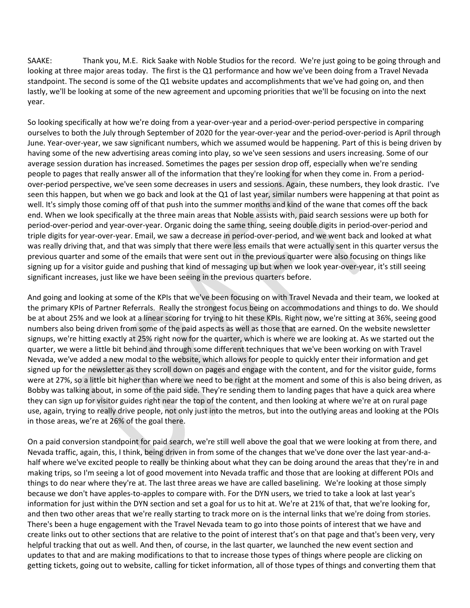SAAKE: Thank you, M.E. Rick Saake with Noble Studios for the record. We're just going to be going through and looking at three major areas today. The first is the Q1 performance and how we've been doing from a Travel Nevada standpoint. The second is some of the Q1 website updates and accomplishments that we've had going on, and then lastly, we'll be looking at some of the new agreement and upcoming priorities that we'll be focusing on into the next year.

So looking specifically at how we're doing from a year-over-year and a period-over-period perspective in comparing ourselves to both the July through September of 2020 for the year-over-year and the period-over-period is April through June. Year-over-year, we saw significant numbers, which we assumed would be happening. Part of this is being driven by having some of the new advertising areas coming into play, so we've seen sessions and users increasing. Some of our average session duration has increased. Sometimes the pages per session drop off, especially when we're sending people to pages that really answer all of the information that they're looking for when they come in. From a periodover-period perspective, we've seen some decreases in users and sessions. Again, these numbers, they look drastic. I've seen this happen, but when we go back and look at the Q1 of last year, similar numbers were happening at that point as well. It's simply those coming off of that push into the summer months and kind of the wane that comes off the back end. When we look specifically at the three main areas that Noble assists with, paid search sessions were up both for period-over-period and year-over-year. Organic doing the same thing, seeing double digits in period-over-period and triple digits for year-over-year. Email, we saw a decrease in period-over-period, and we went back and looked at what was really driving that, and that was simply that there were less emails that were actually sent in this quarter versus the previous quarter and some of the emails that were sent out in the previous quarter were also focusing on things like signing up for a visitor guide and pushing that kind of messaging up but when we look year-over-year, it's still seeing significant increases, just like we have been seeing in the previous quarters before.

And going and looking at some of the KPIs that we've been focusing on with Travel Nevada and their team, we looked at the primary KPIs of Partner Referrals. Really the strongest focus being on accommodations and things to do. We should be at about 25% and we look at a linear scoring for trying to hit these KPIs. Right now, we're sitting at 36%, seeing good numbers also being driven from some of the paid aspects as well as those that are earned. On the website newsletter signups, we're hitting exactly at 25% right now for the quarter, which is where we are looking at. As we started out the quarter, we were a little bit behind and through some different techniques that we've been working on with Travel Nevada, we've added a new modal to the website, which allows for people to quickly enter their information and get signed up for the newsletter as they scroll down on pages and engage with the content, and for the visitor guide, forms were at 27%, so a little bit higher than where we need to be right at the moment and some of this is also being driven, as Bobby was talking about, in some of the paid side. They're sending them to landing pages that have a quick area where they can sign up for visitor guides right near the top of the content, and then looking at where we're at on rural page use, again, trying to really drive people, not only just into the metros, but into the outlying areas and looking at the POIs in those areas, we're at 26% of the goal there.

On a paid conversion standpoint for paid search, we're still well above the goal that we were looking at from there, and Nevada traffic, again, this, I think, being driven in from some of the changes that we've done over the last year-and-ahalf where we've excited people to really be thinking about what they can be doing around the areas that they're in and making trips, so I'm seeing a lot of good movement into Nevada traffic and those that are looking at different POIs and things to do near where they're at. The last three areas we have are called baselining. We're looking at those simply because we don't have apples-to-apples to compare with. For the DYN users, we tried to take a look at last year's information for just within the DYN section and set a goal for us to hit at. We're at 21% of that, that we're looking for, and then two other areas that we're really starting to track more on is the internal links that we're doing from stories. There's been a huge engagement with the Travel Nevada team to go into those points of interest that we have and create links out to other sections that are relative to the point of interest that's on that page and that's been very, very helpful tracking that out as well. And then, of course, in the last quarter, we launched the new event section and updates to that and are making modifications to that to increase those types of things where people are clicking on getting tickets, going out to website, calling for ticket information, all of those types of things and converting them that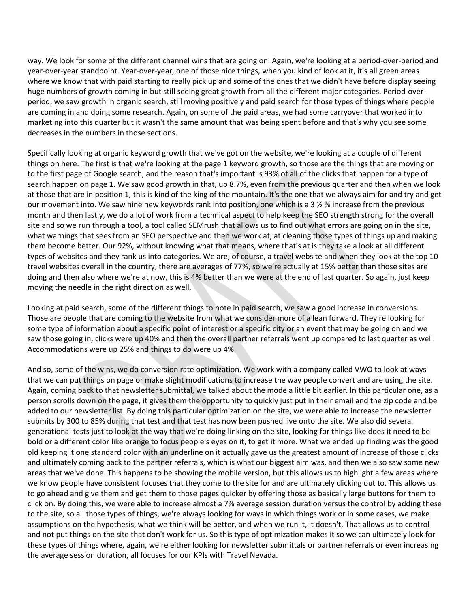way. We look for some of the different channel wins that are going on. Again, we're looking at a period-over-period and year-over-year standpoint. Year-over-year, one of those nice things, when you kind of look at it, it's all green areas where we know that with paid starting to really pick up and some of the ones that we didn't have before display seeing huge numbers of growth coming in but still seeing great growth from all the different major categories. Period-overperiod, we saw growth in organic search, still moving positively and paid search for those types of things where people are coming in and doing some research. Again, on some of the paid areas, we had some carryover that worked into marketing into this quarter but it wasn't the same amount that was being spent before and that's why you see some decreases in the numbers in those sections.

Specifically looking at organic keyword growth that we've got on the website, we're looking at a couple of different things on here. The first is that we're looking at the page 1 keyword growth, so those are the things that are moving on to the first page of Google search, and the reason that's important is 93% of all of the clicks that happen for a type of search happen on page 1. We saw good growth in that, up 8.7%, even from the previous quarter and then when we look at those that are in position 1, this is kind of the king of the mountain. It's the one that we always aim for and try and get our movement into. We saw nine new keywords rank into position, one which is a 3 ½ % increase from the previous month and then lastly, we do a lot of work from a technical aspect to help keep the SEO strength strong for the overall site and so we run through a tool, a tool called SEMrush that allows us to find out what errors are going on in the site, what warnings that sees from an SEO perspective and then we work at, at cleaning those types of things up and making them become better. Our 92%, without knowing what that means, where that's at is they take a look at all different types of websites and they rank us into categories. We are, of course, a travel website and when they look at the top 10 travel websites overall in the country, there are averages of 77%, so we're actually at 15% better than those sites are doing and then also where we're at now, this is 4% better than we were at the end of last quarter. So again, just keep moving the needle in the right direction as well.

Looking at paid search, some of the different things to note in paid search, we saw a good increase in conversions. Those are people that are coming to the website from what we consider more of a lean forward. They're looking for some type of information about a specific point of interest or a specific city or an event that may be going on and we saw those going in, clicks were up 40% and then the overall partner referrals went up compared to last quarter as well. Accommodations were up 25% and things to do were up 4%.

And so, some of the wins, we do conversion rate optimization. We work with a company called VWO to look at ways that we can put things on page or make slight modifications to increase the way people convert and are using the site. Again, coming back to that newsletter submittal, we talked about the mode a little bit earlier. In this particular one, as a person scrolls down on the page, it gives them the opportunity to quickly just put in their email and the zip code and be added to our newsletter list. By doing this particular optimization on the site, we were able to increase the newsletter submits by 300 to 85% during that test and that test has now been pushed live onto the site. We also did several generational tests just to look at the way that we're doing linking on the site, looking for things like does it need to be bold or a different color like orange to focus people's eyes on it, to get it more. What we ended up finding was the good old keeping it one standard color with an underline on it actually gave us the greatest amount of increase of those clicks and ultimately coming back to the partner referrals, which is what our biggest aim was, and then we also saw some new areas that we've done. This happens to be showing the mobile version, but this allows us to highlight a few areas where we know people have consistent focuses that they come to the site for and are ultimately clicking out to. This allows us to go ahead and give them and get them to those pages quicker by offering those as basically large buttons for them to click on. By doing this, we were able to increase almost a 7% average session duration versus the control by adding these to the site, so all those types of things, we're always looking for ways in which things work or in some cases, we make assumptions on the hypothesis, what we think will be better, and when we run it, it doesn't. That allows us to control and not put things on the site that don't work for us. So this type of optimization makes it so we can ultimately look for these types of things where, again, we're either looking for newsletter submittals or partner referrals or even increasing the average session duration, all focuses for our KPIs with Travel Nevada.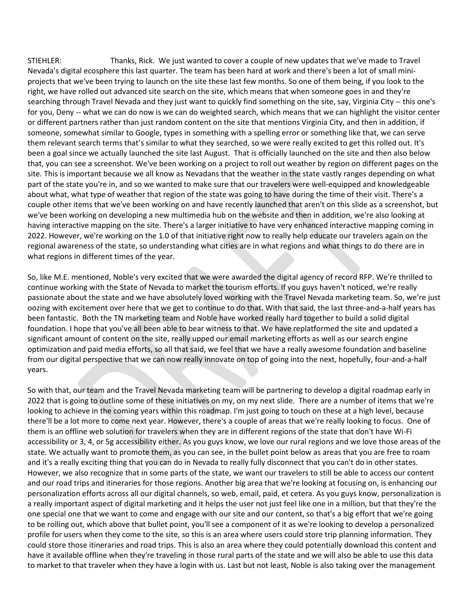STIEHLER: Thanks, Rick. We just wanted to cover a couple of new updates that we've made to Travel Nevada's digital ecosphere this last quarter. The team has been hard at work and there's been a lot of small miniprojects that we've been trying to launch on the site these last few months. So one of them being, if you look to the right, we have rolled out advanced site search on the site, which means that when someone goes in and they're searching through Travel Nevada and they just want to quickly find something on the site, say, Virginia City -- this one's for you, Deny -- what we can do now is we can do weighted search, which means that we can highlight the visitor center or different partners rather than just random content on the site that mentions Virginia City, and then in addition, if someone, somewhat similar to Google, types in something with a spelling error or something like that, we can serve them relevant search terms that's similar to what they searched, so we were really excited to get this rolled out. It's been a goal since we actually launched the site last August. That is officially launched on the site and then also below that, you can see a screenshot. We've been working on a project to roll out weather by region on different pages on the site. This is important because we all know as Nevadans that the weather in the state vastly ranges depending on what part of the state you're in, and so we wanted to make sure that our travelers were well-equipped and knowledgeable about what, what type of weather that region of the state was going to have during the time of their visit. There's a couple other items that we've been working on and have recently launched that aren't on this slide as a screenshot, but we've been working on developing a new multimedia hub on the website and then in addition, we're also looking at having interactive mapping on the site. There's a larger initiative to have very enhanced interactive mapping coming in 2022. However, we're working on the 1.0 of that initiative right now to really help educate our travelers again on the regional awareness of the state, so understanding what cities are in what regions and what things to do there are in what regions in different times of the year.

So, like M.E. mentioned, Noble's very excited that we were awarded the digital agency of record RFP. We're thrilled to continue working with the State of Nevada to market the tourism efforts. If you guys haven't noticed, we're really passionate about the state and we have absolutely loved working with the Travel Nevada marketing team. So, we're just oozing with excitement over here that we get to continue to do that. With that said, the last three-and-a-half years has been fantastic. Both the TN marketing team and Noble have worked really hard together to build a solid digital foundation. I hope that you've all been able to bear witness to that. We have replatformed the site and updated a significant amount of content on the site, really upped our email marketing efforts as well as our search engine optimization and paid media efforts, so all that said, we feel that we have a really awesome foundation and baseline from our digital perspective that we can now really innovate on top of going into the next, hopefully, four-and-a-half years.

So with that, our team and the Travel Nevada marketing team will be partnering to develop a digital roadmap early in 2022 that is going to outline some of these initiatives on my, on my next slide. There are a number of items that we're looking to achieve in the coming years within this roadmap. I'm just going to touch on these at a high level, because there'll be a lot more to come next year. However, there's a couple of areas that we're really looking to focus. One of them is an offline web solution for travelers when they are in different regions of the state that don't have Wi-Fi accessibility or 3, 4, or 5g accessibility either. As you guys know, we love our rural regions and we love those areas of the state. We actually want to promote them, as you can see, in the bullet point below as areas that you are free to roam and it's a really exciting thing that you can do in Nevada to really fully disconnect that you can't do in other states. However, we also recognize that in some parts of the state, we want our travelers to still be able to access our content and our road trips and itineraries for those regions. Another big area that we're looking at focusing on, is enhancing our personalization efforts across all our digital channels, so web, email, paid, et cetera. As you guys know, personalization is a really important aspect of digital marketing and it helps the user not just feel like one in a million, but that they're the one special one that we want to come and engage with our site and our content, so that's a big effort that we're going to be rolling out, which above that bullet point, you'll see a component of it as we're looking to develop a personalized profile for users when they come to the site, so this is an area where users could store trip planning information. They could store those itineraries and road trips. This is also an area where they could potentially download this content and have it available offline when they're traveling in those rural parts of the state and we will also be able to use this data to market to that traveler when they have a login with us. Last but not least, Noble is also taking over the management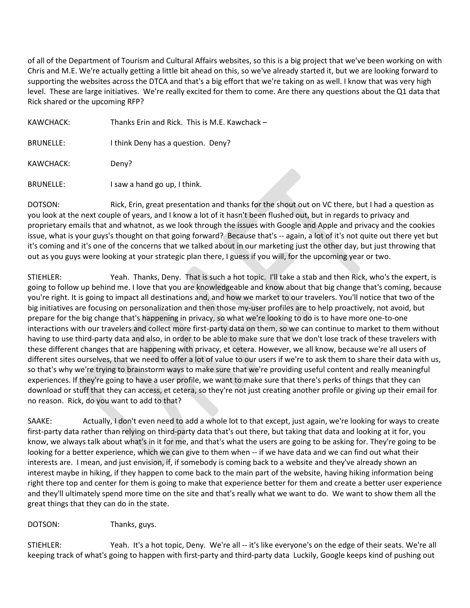of all of the Department of Tourism and Cultural Affairs websites, so this is a big project that we've been working on with Chris and M.E. We're actually getting a little bit ahead on this, so we've already started it, but we are looking forward to supporting the websites across the DTCA and that's a big effort that we're taking on as well. I know that was very high level. These are large initiatives. We're really excited for them to come. Are there any questions about the Q1 data that Rick shared or the upcoming RFP?

| KAWCHACK:        | Thanks Erin and Rick. This is M.E. Kawchack - |
|------------------|-----------------------------------------------|
| <b>BRUNELLE:</b> | I think Deny has a question. Deny?            |
| KAWCHACK:        | Deny?                                         |
| BRUNELLE:        | I saw a hand go up, I think.                  |

DOTSON: Rick, Erin, great presentation and thanks for the shout out on VC there, but I had a question as you look at the next couple of years, and I know a lot of it hasn't been flushed out, but in regards to privacy and proprietary emails that and whatnot, as we look through the issues with Google and Apple and privacy and the cookies issue, what is your guys's thought on that going forward? Because that's -- again, a lot of it's not quite out there yet but it's coming and it's one of the concerns that we talked about in our marketing just the other day, but just throwing that out as you guys were looking at your strategic plan there, I guess if you will, for the upcoming year or two.

STIEHLER: Yeah. Thanks, Deny. That is such a hot topic. I'll take a stab and then Rick, who's the expert, is going to follow up behind me. I love that you are knowledgeable and know about that big change that's coming, because you're right. It is going to impact all destinations and, and how we market to our travelers. You'll notice that two of the big initiatives are focusing on personalization and then those my-user profiles are to help proactively, not avoid, but prepare for the big change that's happening in privacy, so what we're looking to do is to have more one-to-one interactions with our travelers and collect more first-party data on them, so we can continue to market to them without having to use third-party data and also, in order to be able to make sure that we don't lose track of these travelers with these different changes that are happening with privacy, et cetera. However, we all know, because we're all users of different sites ourselves, that we need to offer a lot of value to our users if we're to ask them to share their data with us, so that's why we're trying to brainstorm ways to make sure that we're providing useful content and really meaningful experiences. If they're going to have a user profile, we want to make sure that there's perks of things that they can download or stuff that they can access, et cetera, so they're not just creating another profile or giving up their email for no reason. Rick, do you want to add to that?

SAAKE: Actually, I don't even need to add a whole lot to that except, just again, we're looking for ways to create first-party data rather than relying on third-party data that's out there, but taking that data and looking at it for, you know, we always talk about what's in it for me, and that's what the users are going to be asking for. They're going to be looking for a better experience, which we can give to them when -- if we have data and we can find out what their interests are. I mean, and just envision, if, if somebody is coming back to a website and they've already shown an interest maybe in hiking, if they happen to come back to the main part of the website, having hiking information being right there top and center for them is going to make that experience better for them and create a better user experience and they'll ultimately spend more time on the site and that's really what we want to do. We want to show them all the great things that they can do in the state.

DOTSON: Thanks, guys.

STIEHLER: Yeah. It's a hot topic, Deny. We're all -- it's like everyone's on the edge of their seats. We're all keeping track of what's going to happen with first-party and third-party data Luckily, Google keeps kind of pushing out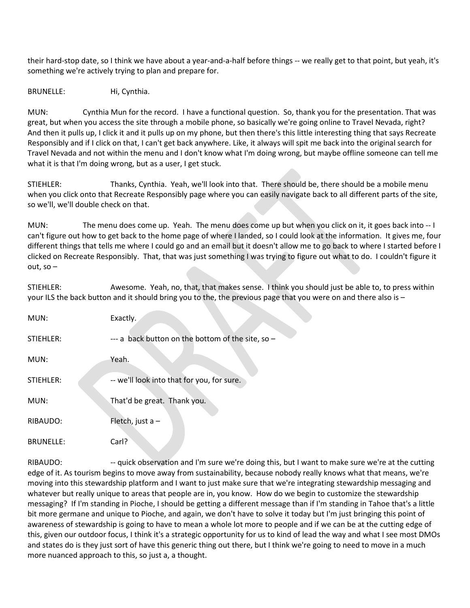their hard-stop date, so I think we have about a year-and-a-half before things -- we really get to that point, but yeah, it's something we're actively trying to plan and prepare for.

BRUNELLE: Hi, Cynthia.

MUN: Cynthia Mun for the record. I have a functional question. So, thank you for the presentation. That was great, but when you access the site through a mobile phone, so basically we're going online to Travel Nevada, right? And then it pulls up, I click it and it pulls up on my phone, but then there's this little interesting thing that says Recreate Responsibly and if I click on that, I can't get back anywhere. Like, it always will spit me back into the original search for Travel Nevada and not within the menu and I don't know what I'm doing wrong, but maybe offline someone can tell me what it is that I'm doing wrong, but as a user, I get stuck.

STIEHLER: Thanks, Cynthia. Yeah, we'll look into that. There should be, there should be a mobile menu when you click onto that Recreate Responsibly page where you can easily navigate back to all different parts of the site, so we'll, we'll double check on that.

MUN: The menu does come up. Yeah. The menu does come up but when you click on it, it goes back into -- I can't figure out how to get back to the home page of where I landed, so I could look at the information. It gives me, four different things that tells me where I could go and an email but it doesn't allow me to go back to where I started before I clicked on Recreate Responsibly. That, that was just something I was trying to figure out what to do. I couldn't figure it out, so –

STIEHLER: Awesome. Yeah, no, that, that makes sense. I think you should just be able to, to press within your ILS the back button and it should bring you to the, the previous page that you were on and there also is –

| MUN:             | Exactly.                                          |
|------------------|---------------------------------------------------|
| STIEHLER:        | --- a back button on the bottom of the site, so - |
| MUN:             | Yeah.                                             |
| STIEHLER:        | -- we'll look into that for you, for sure.        |
| MUN:             | That'd be great. Thank you.                       |
| RIBAUDO:         | Fletch, just $a -$                                |
| <b>BRUNELLE:</b> | Carl?                                             |

RIBAUDO: --- quick observation and I'm sure we're doing this, but I want to make sure we're at the cutting edge of it. As tourism begins to move away from sustainability, because nobody really knows what that means, we're moving into this stewardship platform and I want to just make sure that we're integrating stewardship messaging and whatever but really unique to areas that people are in, you know. How do we begin to customize the stewardship messaging? If I'm standing in Pioche, I should be getting a different message than if I'm standing in Tahoe that's a little bit more germane and unique to Pioche, and again, we don't have to solve it today but I'm just bringing this point of awareness of stewardship is going to have to mean a whole lot more to people and if we can be at the cutting edge of this, given our outdoor focus, I think it's a strategic opportunity for us to kind of lead the way and what I see most DMOs and states do is they just sort of have this generic thing out there, but I think we're going to need to move in a much more nuanced approach to this, so just a, a thought.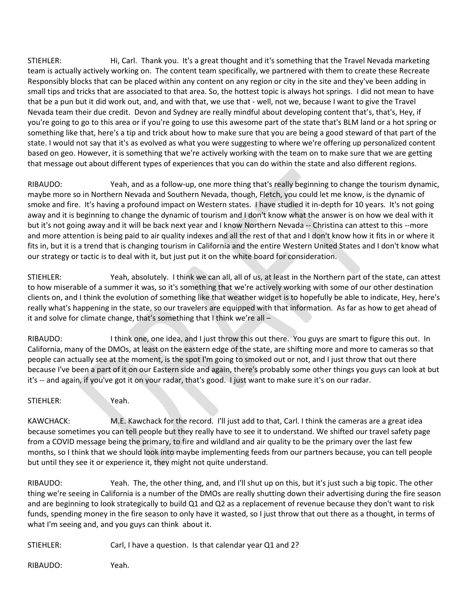STIEHLER: Hi, Carl. Thank you. It's a great thought and it's something that the Travel Nevada marketing team is actually actively working on. The content team specifically, we partnered with them to create these Recreate Responsibly blocks that can be placed within any content on any region or city in the site and they've been adding in small tips and tricks that are associated to that area. So, the hottest topic is always hot springs. I did not mean to have that be a pun but it did work out, and, and with that, we use that - well, not we, because I want to give the Travel Nevada team their due credit. Devon and Sydney are really mindful about developing content that's, that's, Hey, if you're going to go to this area or if you're going to use this awesome part of the state that's BLM land or a hot spring or something like that, here's a tip and trick about how to make sure that you are being a good steward of that part of the state. I would not say that it's as evolved as what you were suggesting to where we're offering up personalized content based on geo. However, it is something that we're actively working with the team on to make sure that we are getting that message out about different types of experiences that you can do within the state and also different regions.

RIBAUDO: Yeah, and as a follow-up, one more thing that's really beginning to change the tourism dynamic, maybe more so in Northern Nevada and Southern Nevada, though, Fletch, you could let me know, is the dynamic of smoke and fire. It's having a profound impact on Western states. I have studied it in-depth for 10 years. It's not going away and it is beginning to change the dynamic of tourism and I don't know what the answer is on how we deal with it but it's not going away and it will be back next year and I know Northern Nevada -- Christina can attest to this --more and more attention is being paid to air quality indexes and all the rest of that and I don't know how it fits in or where it fits in, but it is a trend that is changing tourism in California and the entire Western United States and I don't know what our strategy or tactic is to deal with it, but just put it on the white board for consideration.

STIEHLER: Yeah, absolutely. I think we can all, all of us, at least in the Northern part of the state, can attest to how miserable of a summer it was, so it's something that we're actively working with some of our other destination clients on, and I think the evolution of something like that weather widget is to hopefully be able to indicate, Hey, here's really what's happening in the state, so our travelers are equipped with that information. As far as how to get ahead of it and solve for climate change, that's something that I think we're all –

RIBAUDO: I think one, one idea, and I just throw this out there. You guys are smart to figure this out. In California, many of the DMOs, at least on the eastern edge of the state, are shifting more and more to cameras so that people can actually see at the moment, is the spot I'm going to smoked out or not, and I just throw that out there because I've been a part of it on our Eastern side and again, there's probably some other things you guys can look at but it's -- and again, if you've got it on your radar, that's good. I just want to make sure it's on our radar.

STIEHLER: Yeah.

KAWCHACK: M.E. Kawchack for the record. I'll just add to that, Carl. I think the cameras are a great idea because sometimes you can tell people but they really have to see it to understand. We shifted our travel safety page from a COVID message being the primary, to fire and wildland and air quality to be the primary over the last few months, so I think that we should look into maybe implementing feeds from our partners because, you can tell people but until they see it or experience it, they might not quite understand.

RIBAUDO: Yeah. The, the other thing, and, and I'll shut up on this, but it's just such a big topic. The other thing we're seeing in California is a number of the DMOs are really shutting down their advertising during the fire season and are beginning to look strategically to build Q1 and Q2 as a replacement of revenue because they don't want to risk funds, spending money in the fire season to only have it wasted, so I just throw that out there as a thought, in terms of what I'm seeing and, and you guys can think about it.

STIEHLER: Carl, I have a question. Is that calendar year Q1 and 2?

RIBAUDO: Yeah.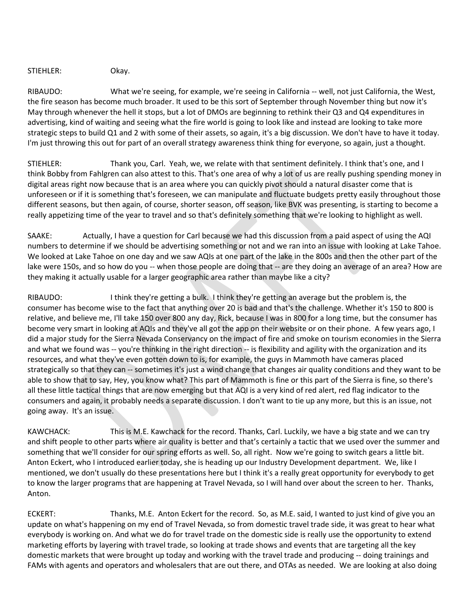STIEHLER: Okay.

RIBAUDO: What we're seeing, for example, we're seeing in California -- well, not just California, the West, the fire season has become much broader. It used to be this sort of September through November thing but now it's May through whenever the hell it stops, but a lot of DMOs are beginning to rethink their Q3 and Q4 expenditures in advertising, kind of waiting and seeing what the fire world is going to look like and instead are looking to take more strategic steps to build Q1 and 2 with some of their assets, so again, it's a big discussion. We don't have to have it today. I'm just throwing this out for part of an overall strategy awareness think thing for everyone, so again, just a thought.

STIEHLER: Thank you, Carl. Yeah, we, we relate with that sentiment definitely. I think that's one, and I think Bobby from Fahlgren can also attest to this. That's one area of why a lot of us are really pushing spending money in digital areas right now because that is an area where you can quickly pivot should a natural disaster come that is unforeseen or if it is something that's foreseen, we can manipulate and fluctuate budgets pretty easily throughout those different seasons, but then again, of course, shorter season, off season, like BVK was presenting, is starting to become a really appetizing time of the year to travel and so that's definitely something that we're looking to highlight as well.

SAAKE: Actually, I have a question for Carl because we had this discussion from a paid aspect of using the AQI numbers to determine if we should be advertising something or not and we ran into an issue with looking at Lake Tahoe. We looked at Lake Tahoe on one day and we saw AQIs at one part of the lake in the 800s and then the other part of the lake were 150s, and so how do you -- when those people are doing that -- are they doing an average of an area? How are they making it actually usable for a larger geographic area rather than maybe like a city?

RIBAUDO: I think they're getting a bulk. I think they're getting an average but the problem is, the consumer has become wise to the fact that anything over 20 is bad and that's the challenge. Whether it's 150 to 800 is relative, and believe me, I'll take 150 over 800 any day, Rick, because I was in 800 for a long time, but the consumer has become very smart in looking at AQIs and they've all got the app on their website or on their phone. A few years ago, I did a major study for the Sierra Nevada Conservancy on the impact of fire and smoke on tourism economies in the Sierra and what we found was -- you're thinking in the right direction -- is flexibility and agility with the organization and its resources, and what they've even gotten down to is, for example, the guys in Mammoth have cameras placed strategically so that they can -- sometimes it's just a wind change that changes air quality conditions and they want to be able to show that to say, Hey, you know what? This part of Mammoth is fine or this part of the Sierra is fine, so there's all these little tactical things that are now emerging but that AQI is a very kind of red alert, red flag indicator to the consumers and again, it probably needs a separate discussion. I don't want to tie up any more, but this is an issue, not going away. It's an issue.

KAWCHACK: This is M.E. Kawchack for the record. Thanks, Carl. Luckily, we have a big state and we can try and shift people to other parts where air quality is better and that's certainly a tactic that we used over the summer and something that we'll consider for our spring efforts as well. So, all right. Now we're going to switch gears a little bit. Anton Eckert, who I introduced earlier today, she is heading up our Industry Development department. We, like I mentioned, we don't usually do these presentations here but I think it's a really great opportunity for everybody to get to know the larger programs that are happening at Travel Nevada, so I will hand over about the screen to her. Thanks, Anton.

ECKERT: Thanks, M.E. Anton Eckert for the record. So, as M.E. said, I wanted to just kind of give you an update on what's happening on my end of Travel Nevada, so from domestic travel trade side, it was great to hear what everybody is working on. And what we do for travel trade on the domestic side is really use the opportunity to extend marketing efforts by layering with travel trade, so looking at trade shows and events that are targeting all the key domestic markets that were brought up today and working with the travel trade and producing -- doing trainings and FAMs with agents and operators and wholesalers that are out there, and OTAs as needed. We are looking at also doing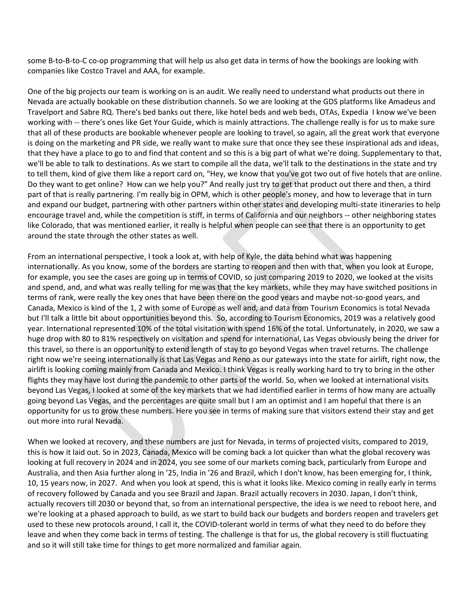some B-to-B-to-C co-op programming that will help us also get data in terms of how the bookings are looking with companies like Costco Travel and AAA, for example.

One of the big projects our team is working on is an audit. We really need to understand what products out there in Nevada are actually bookable on these distribution channels. So we are looking at the GDS platforms like Amadeus and Travelport and Sabre RQ. There's bed banks out there, like hotel beds and web beds, OTAs, Expedia I know we've been working with -- there's ones like Get Your Guide, which is mainly attractions. The challenge really is for us to make sure that all of these products are bookable whenever people are looking to travel, so again, all the great work that everyone is doing on the marketing and PR side, we really want to make sure that once they see these inspirational ads and ideas, that they have a place to go to and find that content and so this is a big part of what we're doing. Supplementary to that, we'll be able to talk to destinations. As we start to compile all the data, we'll talk to the destinations in the state and try to tell them, kind of give them like a report card on, "Hey, we know that you've got two out of five hotels that are online. Do they want to get online? How can we help you?" And really just try to get that product out there and then, a third part of that is really partnering. I'm really big in OPM, which is other people's money, and how to leverage that in turn and expand our budget, partnering with other partners within other states and developing multi-state itineraries to help encourage travel and, while the competition is stiff, in terms of California and our neighbors -- other neighboring states like Colorado, that was mentioned earlier, it really is helpful when people can see that there is an opportunity to get around the state through the other states as well.

From an international perspective, I took a look at, with help of Kyle, the data behind what was happening internationally. As you know, some of the borders are starting to reopen and then with that, when you look at Europe, for example, you see the cases are going up in terms of COVID, so just comparing 2019 to 2020, we looked at the visits and spend, and, and what was really telling for me was that the key markets, while they may have switched positions in terms of rank, were really the key ones that have been there on the good years and maybe not-so-good years, and Canada, Mexico is kind of the 1, 2 with some of Europe as well and, and data from Tourism Economics is total Nevada but I'll talk a little bit about opportunities beyond this. So, according to Tourism Economics, 2019 was a relatively good year. International represented 10% of the total visitation with spend 16% of the total. Unfortunately, in 2020, we saw a huge drop with 80 to 81% respectively on visitation and spend for international, Las Vegas obviously being the driver for this travel, so there is an opportunity to extend length of stay to go beyond Vegas when travel returns. The challenge right now we're seeing internationally is that Las Vegas and Reno as our gateways into the state for airlift, right now, the airlift is looking coming mainly from Canada and Mexico. I think Vegas is really working hard to try to bring in the other flights they may have lost during the pandemic to other parts of the world. So, when we looked at international visits beyond Las Vegas, I looked at some of the key markets that we had identified earlier in terms of how many are actually going beyond Las Vegas, and the percentages are quite small but I am an optimist and I am hopeful that there is an opportunity for us to grow these numbers. Here you see in terms of making sure that visitors extend their stay and get out more into rural Nevada.

When we looked at recovery, and these numbers are just for Nevada, in terms of projected visits, compared to 2019, this is how it laid out. So in 2023, Canada, Mexico will be coming back a lot quicker than what the global recovery was looking at full recovery in 2024 and in 2024, you see some of our markets coming back, particularly from Europe and Australia, and then Asia further along in '25, India in '26 and Brazil, which I don't know, has been emerging for, I think, 10, 15 years now, in 2027. And when you look at spend, this is what it looks like. Mexico coming in really early in terms of recovery followed by Canada and you see Brazil and Japan. Brazil actually recovers in 2030. Japan, I don't think, actually recovers till 2030 or beyond that, so from an international perspective, the idea is we need to reboot here, and we're looking at a phased approach to build, as we start to build back our budgets and borders reopen and travelers get used to these new protocols around, I call it, the COVID-tolerant world in terms of what they need to do before they leave and when they come back in terms of testing. The challenge is that for us, the global recovery is still fluctuating and so it will still take time for things to get more normalized and familiar again.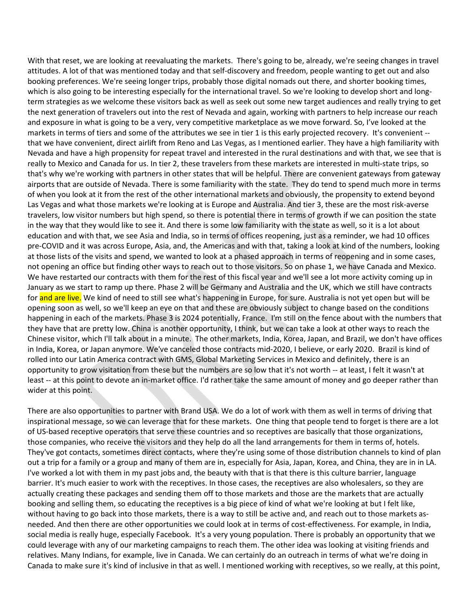With that reset, we are looking at reevaluating the markets. There's going to be, already, we're seeing changes in travel attitudes. A lot of that was mentioned today and that self-discovery and freedom, people wanting to get out and also booking preferences. We're seeing longer trips, probably those digital nomads out there, and shorter booking times, which is also going to be interesting especially for the international travel. So we're looking to develop short and longterm strategies as we welcome these visitors back as well as seek out some new target audiences and really trying to get the next generation of travelers out into the rest of Nevada and again, working with partners to help increase our reach and exposure in what is going to be a very, very competitive marketplace as we move forward. So, I've looked at the markets in terms of tiers and some of the attributes we see in tier 1 is this early projected recovery. It's convenient - that we have convenient, direct airlift from Reno and Las Vegas, as I mentioned earlier. They have a high familiarity with Nevada and have a high propensity for repeat travel and interested in the rural destinations and with that, we see that is really to Mexico and Canada for us. In tier 2, these travelers from these markets are interested in multi-state trips, so that's why we're working with partners in other states that will be helpful. There are convenient gateways from gateway airports that are outside of Nevada. There is some familiarity with the state. They do tend to spend much more in terms of when you look at it from the rest of the other international markets and obviously, the propensity to extend beyond Las Vegas and what those markets we're looking at is Europe and Australia. And tier 3, these are the most risk-averse travelers, low visitor numbers but high spend, so there is potential there in terms of growth if we can position the state in the way that they would like to see it. And there is some low familiarity with the state as well, so it is a lot about education and with that, we see Asia and India, so in terms of offices reopening, just as a reminder, we had 10 offices pre-COVID and it was across Europe, Asia, and, the Americas and with that, taking a look at kind of the numbers, looking at those lists of the visits and spend, we wanted to look at a phased approach in terms of reopening and in some cases, not opening an office but finding other ways to reach out to those visitors. So on phase 1, we have Canada and Mexico. We have restarted our contracts with them for the rest of this fiscal year and we'll see a lot more activity coming up in January as we start to ramp up there. Phase 2 will be Germany and Australia and the UK, which we still have contracts for and are live. We kind of need to still see what's happening in Europe, for sure. Australia is not yet open but will be opening soon as well, so we'll keep an eye on that and these are obviously subject to change based on the conditions happening in each of the markets. Phase 3 is 2024 potentially, France. I'm still on the fence about with the numbers that they have that are pretty low. China is another opportunity, I think, but we can take a look at other ways to reach the Chinese visitor, which I'll talk about in a minute. The other markets, India, Korea, Japan, and Brazil, we don't have offices in India, Korea, or Japan anymore. We've canceled those contracts mid-2020, I believe, or early 2020. Brazil is kind of rolled into our Latin America contract with GMS, Global Marketing Services in Mexico and definitely, there is an opportunity to grow visitation from these but the numbers are so low that it's not worth -- at least, I felt it wasn't at least -- at this point to devote an in-market office. I'd rather take the same amount of money and go deeper rather than wider at this point.

There are also opportunities to partner with Brand USA. We do a lot of work with them as well in terms of driving that inspirational message, so we can leverage that for these markets. One thing that people tend to forget is there are a lot of US-based receptive operators that serve these countries and so receptives are basically that those organizations, those companies, who receive the visitors and they help do all the land arrangements for them in terms of, hotels. They've got contacts, sometimes direct contacts, where they're using some of those distribution channels to kind of plan out a trip for a family or a group and many of them are in, especially for Asia, Japan, Korea, and China, they are in in LA. I've worked a lot with them in my past jobs and, the beauty with that is that there is this culture barrier, language barrier. It's much easier to work with the receptives. In those cases, the receptives are also wholesalers, so they are actually creating these packages and sending them off to those markets and those are the markets that are actually booking and selling them, so educating the receptives is a big piece of kind of what we're looking at but I felt like, without having to go back into those markets, there is a way to still be active and, and reach out to those markets asneeded. And then there are other opportunities we could look at in terms of cost-effectiveness. For example, in India, social media is really huge, especially Facebook. It's a very young population. There is probably an opportunity that we could leverage with any of our marketing campaigns to reach them. The other idea was looking at visiting friends and relatives. Many Indians, for example, live in Canada. We can certainly do an outreach in terms of what we're doing in Canada to make sure it's kind of inclusive in that as well. I mentioned working with receptives, so we really, at this point,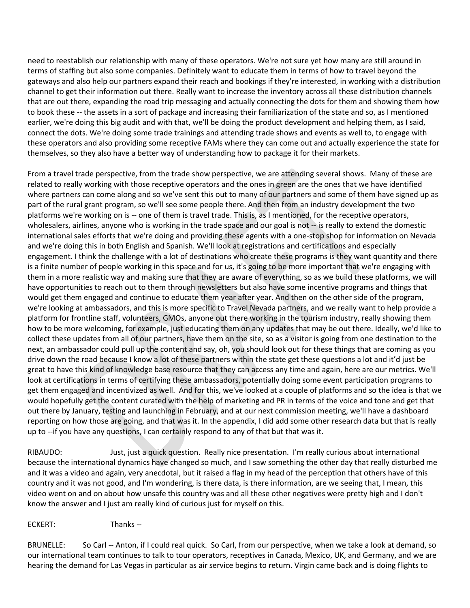need to reestablish our relationship with many of these operators. We're not sure yet how many are still around in terms of staffing but also some companies. Definitely want to educate them in terms of how to travel beyond the gateways and also help our partners expand their reach and bookings if they're interested, in working with a distribution channel to get their information out there. Really want to increase the inventory across all these distribution channels that are out there, expanding the road trip messaging and actually connecting the dots for them and showing them how to book these -- the assets in a sort of package and increasing their familiarization of the state and so, as I mentioned earlier, we're doing this big audit and with that, we'll be doing the product development and helping them, as I said, connect the dots. We're doing some trade trainings and attending trade shows and events as well to, to engage with these operators and also providing some receptive FAMs where they can come out and actually experience the state for themselves, so they also have a better way of understanding how to package it for their markets.

From a travel trade perspective, from the trade show perspective, we are attending several shows. Many of these are related to really working with those receptive operators and the ones in green are the ones that we have identified where partners can come along and so we've sent this out to many of our partners and some of them have signed up as part of the rural grant program, so we'll see some people there. And then from an industry development the two platforms we're working on is -- one of them is travel trade. This is, as I mentioned, for the receptive operators, wholesalers, airlines, anyone who is working in the trade space and our goal is not -- is really to extend the domestic international sales efforts that we're doing and providing these agents with a one-stop shop for information on Nevada and we're doing this in both English and Spanish. We'll look at registrations and certifications and especially engagement. I think the challenge with a lot of destinations who create these programs is they want quantity and there is a finite number of people working in this space and for us, it's going to be more important that we're engaging with them in a more realistic way and making sure that they are aware of everything, so as we build these platforms, we will have opportunities to reach out to them through newsletters but also have some incentive programs and things that would get them engaged and continue to educate them year after year. And then on the other side of the program, we're looking at ambassadors, and this is more specific to Travel Nevada partners, and we really want to help provide a platform for frontline staff, volunteers, GMOs, anyone out there working in the tourism industry, really showing them how to be more welcoming, for example, just educating them on any updates that may be out there. Ideally, we'd like to collect these updates from all of our partners, have them on the site, so as a visitor is going from one destination to the next, an ambassador could pull up the content and say, oh, you should look out for these things that are coming as you drive down the road because I know a lot of these partners within the state get these questions a lot and it'd just be great to have this kind of knowledge base resource that they can access any time and again, here are our metrics. We'll look at certifications in terms of certifying these ambassadors, potentially doing some event participation programs to get them engaged and incentivized as well. And for this, we've looked at a couple of platforms and so the idea is that we would hopefully get the content curated with the help of marketing and PR in terms of the voice and tone and get that out there by January, testing and launching in February, and at our next commission meeting, we'll have a dashboard reporting on how those are going, and that was it. In the appendix, I did add some other research data but that is really up to --if you have any questions, I can certainly respond to any of that but that was it.

RIBAUDO: Just, just a quick question. Really nice presentation. I'm really curious about international because the international dynamics have changed so much, and I saw something the other day that really disturbed me and it was a video and again, very anecdotal, but it raised a flag in my head of the perception that others have of this country and it was not good, and I'm wondering, is there data, is there information, are we seeing that, I mean, this video went on and on about how unsafe this country was and all these other negatives were pretty high and I don't know the answer and I just am really kind of curious just for myself on this.

ECKERT: Thanks --

BRUNELLE: So Carl -- Anton, if I could real quick. So Carl, from our perspective, when we take a look at demand, so our international team continues to talk to tour operators, receptives in Canada, Mexico, UK, and Germany, and we are hearing the demand for Las Vegas in particular as air service begins to return. Virgin came back and is doing flights to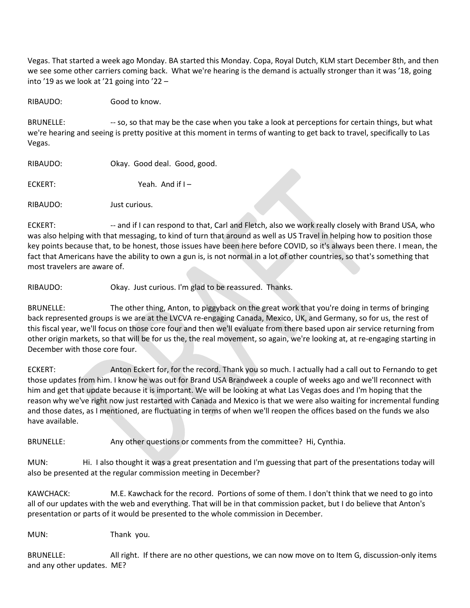Vegas. That started a week ago Monday. BA started this Monday. Copa, Royal Dutch, KLM start December 8th, and then we see some other carriers coming back. What we're hearing is the demand is actually stronger than it was '18, going into '19 as we look at '21 going into '22 –

RIBAUDO: Good to know.

BRUNELLE: --- so, so that may be the case when you take a look at perceptions for certain things, but what we're hearing and seeing is pretty positive at this moment in terms of wanting to get back to travel, specifically to Las Vegas.

| RIBAUDO: | Okay. Good deal. Good, good. |
|----------|------------------------------|
| ECKERT:  | Yeah. And if $I -$           |
| RIBAUDO: | Just curious.                |

ECKERT: --- and if I can respond to that, Carl and Fletch, also we work really closely with Brand USA, who was also helping with that messaging, to kind of turn that around as well as US Travel in helping how to position those key points because that, to be honest, those issues have been here before COVID, so it's always been there. I mean, the fact that Americans have the ability to own a gun is, is not normal in a lot of other countries, so that's something that most travelers are aware of.

RIBAUDO: Okay. Just curious. I'm glad to be reassured. Thanks.

BRUNELLE: The other thing, Anton, to piggyback on the great work that you're doing in terms of bringing back represented groups is we are at the LVCVA re-engaging Canada, Mexico, UK, and Germany, so for us, the rest of this fiscal year, we'll focus on those core four and then we'll evaluate from there based upon air service returning from other origin markets, so that will be for us the, the real movement, so again, we're looking at, at re-engaging starting in December with those core four.

ECKERT: Anton Eckert for, for the record. Thank you so much. I actually had a call out to Fernando to get those updates from him. I know he was out for Brand USA Brandweek a couple of weeks ago and we'll reconnect with him and get that update because it is important. We will be looking at what Las Vegas does and I'm hoping that the reason why we've right now just restarted with Canada and Mexico is that we were also waiting for incremental funding and those dates, as I mentioned, are fluctuating in terms of when we'll reopen the offices based on the funds we also have available.

BRUNELLE: Any other questions or comments from the committee? Hi, Cynthia.

MUN: Hi. I also thought it was a great presentation and I'm guessing that part of the presentations today will also be presented at the regular commission meeting in December?

KAWCHACK: M.E. Kawchack for the record. Portions of some of them. I don't think that we need to go into all of our updates with the web and everything. That will be in that commission packet, but I do believe that Anton's presentation or parts of it would be presented to the whole commission in December.

MUN: Thank you.

BRUNELLE: All right. If there are no other questions, we can now move on to Item G, discussion-only items and any other updates. ME?